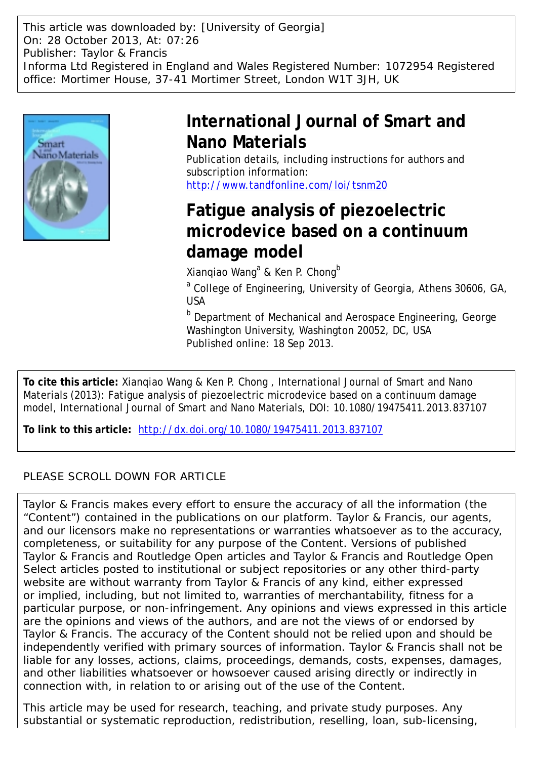This article was downloaded by: [University of Georgia] On: 28 October 2013, At: 07:26 Publisher: Taylor & Francis Informa Ltd Registered in England and Wales Registered Number: 1072954 Registered office: Mortimer House, 37-41 Mortimer Street, London W1T 3JH, UK



# **International Journal of Smart and Nano Materials**

Publication details, including instructions for authors and subscription information: <http://www.tandfonline.com/loi/tsnm20>

# **Fatigue analysis of piezoelectric microdevice based on a continuum damage model**

Xianqiao Wang<sup>a</sup> & Ken P. Chong<sup>b</sup>

<sup>a</sup> College of Engineering, University of Georgia, Athens 30606, GA, USA

**b** Department of Mechanical and Aerospace Engineering, George Washington University, Washington 20052, DC, USA Published online: 18 Sep 2013.

**To cite this article:** Xianqiao Wang & Ken P. Chong , International Journal of Smart and Nano Materials (2013): Fatigue analysis of piezoelectric microdevice based on a continuum damage model, International Journal of Smart and Nano Materials, DOI: 10.1080/19475411.2013.837107

**To link to this article:** <http://dx.doi.org/10.1080/19475411.2013.837107>

# PLEASE SCROLL DOWN FOR ARTICLE

Taylor & Francis makes every effort to ensure the accuracy of all the information (the "Content") contained in the publications on our platform. Taylor & Francis, our agents, and our licensors make no representations or warranties whatsoever as to the accuracy, completeness, or suitability for any purpose of the Content. Versions of published Taylor & Francis and Routledge Open articles and Taylor & Francis and Routledge Open Select articles posted to institutional or subject repositories or any other third-party website are without warranty from Taylor & Francis of any kind, either expressed or implied, including, but not limited to, warranties of merchantability, fitness for a particular purpose, or non-infringement. Any opinions and views expressed in this article are the opinions and views of the authors, and are not the views of or endorsed by Taylor & Francis. The accuracy of the Content should not be relied upon and should be independently verified with primary sources of information. Taylor & Francis shall not be liable for any losses, actions, claims, proceedings, demands, costs, expenses, damages, and other liabilities whatsoever or howsoever caused arising directly or indirectly in connection with, in relation to or arising out of the use of the Content.

This article may be used for research, teaching, and private study purposes. Any substantial or systematic reproduction, redistribution, reselling, loan, sub-licensing,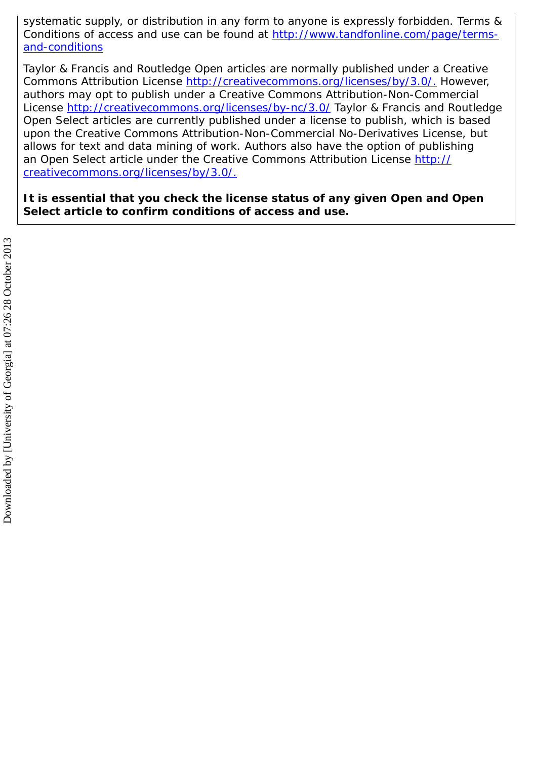systematic supply, or distribution in any form to anyone is expressly forbidden. Terms & Conditions of access and use can be found at [http://www.tandfonline.com/page/terms](http://www.tandfonline.com/page/terms-and-conditions)[and-conditions](http://www.tandfonline.com/page/terms-and-conditions)

Taylor & Francis and Routledge Open articles are normally published under a Creative Commons Attribution License<http://creativecommons.org/licenses/by/3.0/.> However, authors may opt to publish under a Creative Commons Attribution-Non-Commercial License<http://creativecommons.org/licenses/by-nc/3.0/> Taylor & Francis and Routledge Open Select articles are currently published under a license to publish, which is based upon the Creative Commons Attribution-Non-Commercial No-Derivatives License, but allows for text and data mining of work. Authors also have the option of publishing an Open Select article under the Creative Commons Attribution License [http://](http://creativecommons.org/licenses/by/3.0/.) [creativecommons.org/licenses/by/3.0/.](http://creativecommons.org/licenses/by/3.0/.)

**It is essential that you check the license status of any given Open and Open Select article to confirm conditions of access and use.**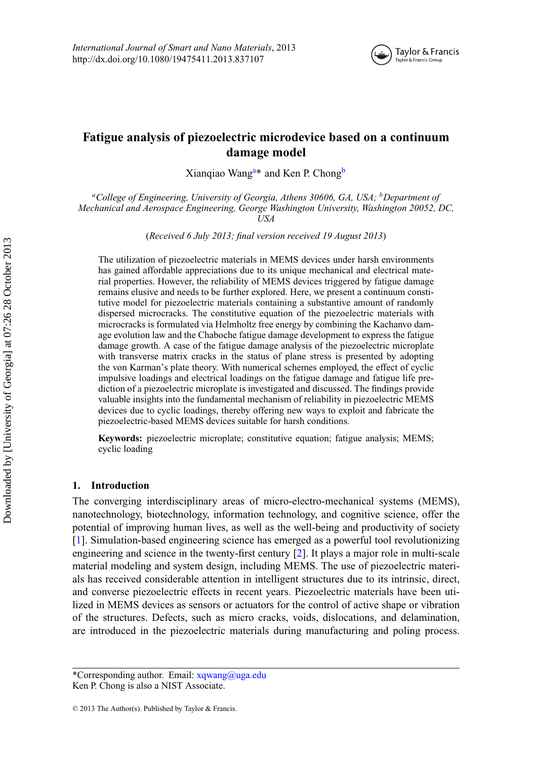

# **Fatigue analysis of piezoelectric microdevice based on a continuum damage model**

<span id="page-2-0"></span>Xianqiao Wang<sup>a\*</sup> and Ken P. Chong<sup>b</sup>

*aCollege of Engineering, University of Georgia, Athens 30606, GA, USA; bDepartment of Mechanical and Aerospace Engineering, George Washington University, Washington 20052, DC, USA*

(*Received 6 July 2013; final version received 19 August 2013*)

The utilization of piezoelectric materials in MEMS devices under harsh environments has gained affordable appreciations due to its unique mechanical and electrical material properties. However, the reliability of MEMS devices triggered by fatigue damage remains elusive and needs to be further explored. Here, we present a continuum constitutive model for piezoelectric materials containing a substantive amount of randomly dispersed microcracks. The constitutive equation of the piezoelectric materials with microcracks is formulated via Helmholtz free energy by combining the Kachanvo damage evolution law and the Chaboche fatigue damage development to express the fatigue damage growth. A case of the fatigue damage analysis of the piezoelectric microplate with transverse matrix cracks in the status of plane stress is presented by adopting the von Karman's plate theory. With numerical schemes employed, the effect of cyclic impulsive loadings and electrical loadings on the fatigue damage and fatigue life prediction of a piezoelectric microplate is investigated and discussed. The findings provide valuable insights into the fundamental mechanism of reliability in piezoelectric MEMS devices due to cyclic loadings, thereby offering new ways to exploit and fabricate the piezoelectric-based MEMS devices suitable for harsh conditions.

**Keywords:** piezoelectric microplate; constitutive equation; fatigue analysis; MEMS; cyclic loading

## **1. Introduction**

The converging interdisciplinary areas of micro-electro-mechanical systems (MEMS), nanotechnology, biotechnology, information technology, and cognitive science, offer the potential of improving human lives, as well as the well-being and productivity of society [\[1\]](#page-21-0). Simulation-based engineering science has emerged as a powerful tool revolutionizing engineering and science in the twenty-first century [\[2\]](#page-21-1). It plays a major role in multi-scale material modeling and system design, including MEMS. The use of piezoelectric materials has received considerable attention in intelligent structures due to its intrinsic, direct, and converse piezoelectric effects in recent years. Piezoelectric materials have been utilized in MEMS devices as sensors or actuators for the control of active shape or vibration of the structures. Defects, such as micro cracks, voids, dislocations, and delamination, are introduced in the piezoelectric materials during manufacturing and poling process.

<sup>\*</sup>Corresponding author. Email: xqwang@uga.edu Ken P. Chong is also a NIST Associate.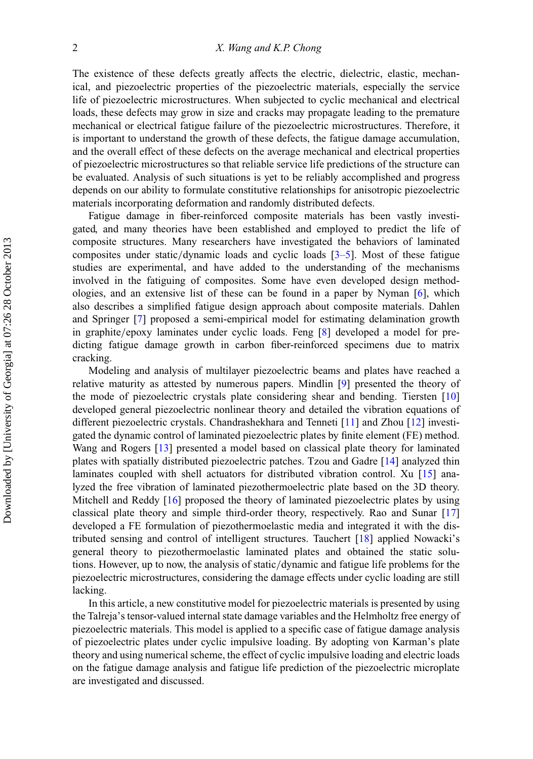The existence of these defects greatly affects the electric, dielectric, elastic, mechanical, and piezoelectric properties of the piezoelectric materials, especially the service life of piezoelectric microstructures. When subjected to cyclic mechanical and electrical loads, these defects may grow in size and cracks may propagate leading to the premature mechanical or electrical fatigue failure of the piezoelectric microstructures. Therefore, it is important to understand the growth of these defects, the fatigue damage accumulation, and the overall effect of these defects on the average mechanical and electrical properties of piezoelectric microstructures so that reliable service life predictions of the structure can be evaluated. Analysis of such situations is yet to be reliably accomplished and progress depends on our ability to formulate constitutive relationships for anisotropic piezoelectric materials incorporating deformation and randomly distributed defects.

Fatigue damage in fiber-reinforced composite materials has been vastly investigated, and many theories have been established and employed to predict the life of composite structures. Many researchers have investigated the behaviors of laminated composites under static/dynamic loads and cyclic loads  $[3-5]$  $[3-5]$ . Most of these fatigue studies are experimental, and have added to the understanding of the mechanisms involved in the fatiguing of composites. Some have even developed design methodologies, and an extensive list of these can be found in a paper by Nyman [\[6\]](#page-21-4), which also describes a simplified fatigue design approach about composite materials. Dahlen and Springer [\[7\]](#page-21-5) proposed a semi-empirical model for estimating delamination growth in graphite/epoxy laminates under cyclic loads. Feng [\[8\]](#page-21-6) developed a model for predicting fatigue damage growth in carbon fiber-reinforced specimens due to matrix cracking.

Modeling and analysis of multilayer piezoelectric beams and plates have reached a relative maturity as attested by numerous papers. Mindlin [\[9\]](#page-21-7) presented the theory of the mode of piezoelectric crystals plate considering shear and bending. Tiersten [\[10\]](#page-21-8) developed general piezoelectric nonlinear theory and detailed the vibration equations of different piezoelectric crystals. Chandrashekhara and Tenneti [\[11\]](#page-21-9) and Zhou [\[12\]](#page-21-10) investigated the dynamic control of laminated piezoelectric plates by finite element (FE) method. Wang and Rogers [\[13\]](#page-21-11) presented a model based on classical plate theory for laminated plates with spatially distributed piezoelectric patches. Tzou and Gadre [\[14\]](#page-21-12) analyzed thin laminates coupled with shell actuators for distributed vibration control. Xu [\[15\]](#page-21-13) analyzed the free vibration of laminated piezothermoelectric plate based on the 3D theory. Mitchell and Reddy [\[16\]](#page-21-14) proposed the theory of laminated piezoelectric plates by using classical plate theory and simple third-order theory, respectively. Rao and Sunar [\[17\]](#page-21-15) developed a FE formulation of piezothermoelastic media and integrated it with the distributed sensing and control of intelligent structures. Tauchert [\[18\]](#page-21-16) applied Nowacki's general theory to piezothermoelastic laminated plates and obtained the static solutions. However, up to now, the analysis of static/dynamic and fatigue life problems for the piezoelectric microstructures, considering the damage effects under cyclic loading are still lacking.

In this article, a new constitutive model for piezoelectric materials is presented by using the Talreja's tensor-valued internal state damage variables and the Helmholtz free energy of piezoelectric materials. This model is applied to a specific case of fatigue damage analysis of piezoelectric plates under cyclic impulsive loading. By adopting von Karman's plate theory and using numerical scheme, the effect of cyclic impulsive loading and electric loads on the fatigue damage analysis and fatigue life prediction of the piezoelectric microplate are investigated and discussed.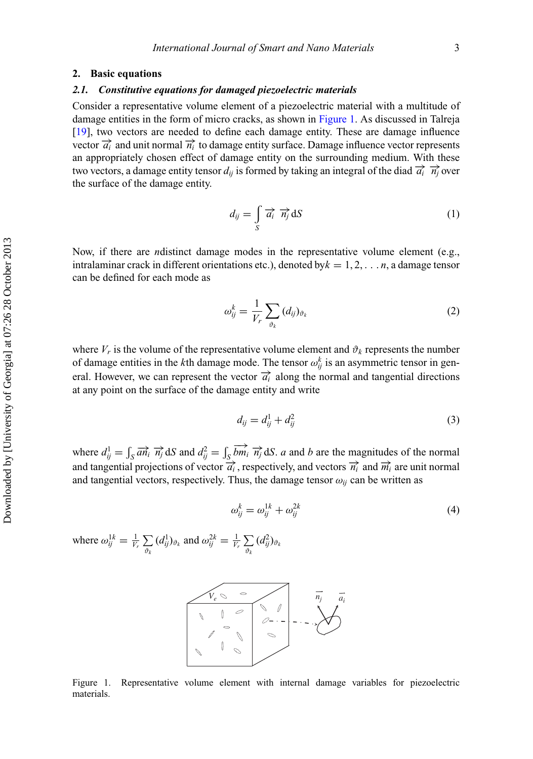### **2. Basic equations**

#### *2.1. Constitutive equations for damaged piezoelectric materials*

Consider a representative volume element of a piezoelectric material with a multitude of damage entities in the form of micro cracks, as shown in [Figure 1.](#page-4-0) As discussed in Talreja [\[19\]](#page-21-17), two vectors are needed to define each damage entity. These are damage influence vector  $\overrightarrow{a_i}$  and unit normal  $\overrightarrow{n_i}$  to damage entity surface. Damage influence vector represents an appropriately chosen effect of damage entity on the surrounding medium. With these two vectors, a damage entity tensor  $d_{ij}$  is formed by taking an integral of the diad  $\vec{a}_i \cdot \vec{n}_i$  over the surface of the damage entity.

$$
d_{ij} = \int\limits_{S} \overrightarrow{a_i} \ \overrightarrow{n_j} \, \mathrm{d}S \tag{1}
$$

Now, if there are *n*distinct damage modes in the representative volume element (e.g., intralaminar crack in different orientations etc.), denoted by $k = 1, 2, \ldots n$ , a damage tensor can be defined for each mode as

$$
\omega_{ij}^k = \frac{1}{V_r} \sum_{\vartheta_k} (d_{ij})_{\vartheta_k} \tag{2}
$$

where  $V_r$  is the volume of the representative volume element and  $\vartheta_k$  represents the number of damage entities in the *k*<sup>th</sup> damage mode. The tensor  $\omega_{ij}^k$  is an asymmetric tensor in general. However, we can represent the vector  $\overrightarrow{a_i}$  along the normal and tangential directions at any point on the surface of the damage entity and write

$$
d_{ij} = d_{ij}^1 + d_{ij}^2 \tag{3}
$$

where  $d_{ij}^1 = \int_S \overline{a n_i} \overrightarrow{n_j} dS$  and  $d_{ij}^2 = \int_S \overrightarrow{b n_i} \overrightarrow{n_j} dS$ . *a* and *b* are the magnitudes of the normal and tangential projections of vector  $\overrightarrow{a_i}$ , respectively, and vectors  $\overrightarrow{n_i}$  and  $\overrightarrow{m_i}$  are unit normal and tangential vectors, respectively. Thus, the damage tensor  $\omega_{ij}$  can be written as

$$
\omega_{ij}^k = \omega_{ij}^{1k} + \omega_{ij}^{2k} \tag{4}
$$

<span id="page-4-0"></span>where  $\omega_{ij}^{1k} = \frac{1}{V_r} \sum_{\Omega}$  $\vartheta_k$  $(d_{ij}^1)_{\vartheta_k}$  and  $\omega_{ij}^{2k} = \frac{1}{V_r} \sum_{\Omega}$  $\vartheta_k$  $(d_{ij}^2)_{\vartheta_k}$ 



Figure 1. Representative volume element with internal damage variables for piezoelectric materials.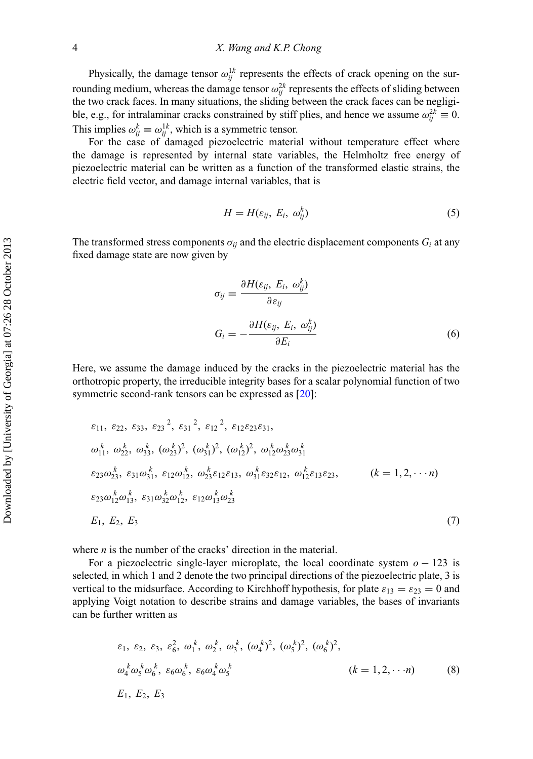Physically, the damage tensor  $\omega_{ij}^{1k}$  represents the effects of crack opening on the surrounding medium, whereas the damage tensor  $\omega_{ij}^{2k}$  represents the effects of sliding between the two crack faces. In many situations, the sliding between the crack faces can be negligible, e.g., for intralaminar cracks constrained by stiff plies, and hence we assume  $\omega_{ij}^{2k} \equiv 0$ . This implies  $\omega_{ij}^k \equiv \omega_{ij}^{1k}$ , which is a symmetric tensor.

For the case of damaged piezoelectric material without temperature effect where the damage is represented by internal state variables, the Helmholtz free energy of piezoelectric material can be written as a function of the transformed elastic strains, the electric field vector, and damage internal variables, that is

$$
H = H(\varepsilon_{ij}, E_i, \omega_{ij}^k) \tag{5}
$$

The transformed stress components  $\sigma_{ij}$  and the electric displacement components  $G_i$  at any fixed damage state are now given by

$$
\sigma_{ij} = \frac{\partial H(\varepsilon_{ij}, E_i, \omega_{ij}^k)}{\partial \varepsilon_{ij}}
$$

$$
G_i = -\frac{\partial H(\varepsilon_{ij}, E_i, \omega_{ij}^k)}{\partial E_i}
$$
(6)

Here, we assume the damage induced by the cracks in the piezoelectric material has the orthotropic property, the irreducible integrity bases for a scalar polynomial function of two symmetric second-rank tensors can be expressed as [\[20\]](#page-21-18):

$$
\varepsilon_{11}, \varepsilon_{22}, \varepsilon_{33}, \varepsilon_{23}^2, \varepsilon_{31}^2, \varepsilon_{12}^2, \varepsilon_{12}\varepsilon_{23}\varepsilon_{31},
$$
  
\n
$$
\omega_{11}^k, \omega_{22}^k, \omega_{33}^k, (\omega_{23}^k)^2, (\omega_{31}^k)^2, (\omega_{12}^k)^2, \omega_{12}^k \omega_{23}^k \omega_{31}^k
$$
  
\n
$$
\varepsilon_{23}\omega_{23}^k, \varepsilon_{31}\omega_{31}^k, \varepsilon_{12}\omega_{12}^k, \omega_{23}^k \varepsilon_{12}\varepsilon_{13}, \omega_{31}^k \varepsilon_{32}\varepsilon_{12}, \omega_{12}^k \varepsilon_{13}\varepsilon_{23}, \qquad (k = 1, 2, \cdots n)
$$
  
\n
$$
\varepsilon_{23}\omega_{12}^k \omega_{13}^k, \varepsilon_{31}\omega_{32}^k \omega_{12}^k, \varepsilon_{12}\omega_{13}^k \omega_{23}^k
$$
  
\n
$$
E_1, E_2, E_3
$$
  
\n(7)

where *n* is the number of the cracks' direction in the material.

For a piezoelectric single-layer microplate, the local coordinate system *o* − 123 is selected, in which 1 and 2 denote the two principal directions of the piezoelectric plate, 3 is vertical to the midsurface. According to Kirchhoff hypothesis, for plate  $\varepsilon_{13} = \varepsilon_{23} = 0$  and applying Voigt notation to describe strains and damage variables, the bases of invariants can be further written as

$$
\varepsilon_1, \varepsilon_2, \varepsilon_3, \varepsilon_6^2, \omega_1^k, \omega_2^k, \omega_3^k, (\omega_4^k)^2, (\omega_5^k)^2, (\omega_6^k)^2,
$$
  
\n
$$
\omega_4^k \omega_5^k \omega_6^k, \varepsilon_6 \omega_6^k, \varepsilon_6 \omega_4^k \omega_5^k
$$
 (k = 1, 2, · · ·n) (8)  
\n
$$
E_1, E_2, E_3
$$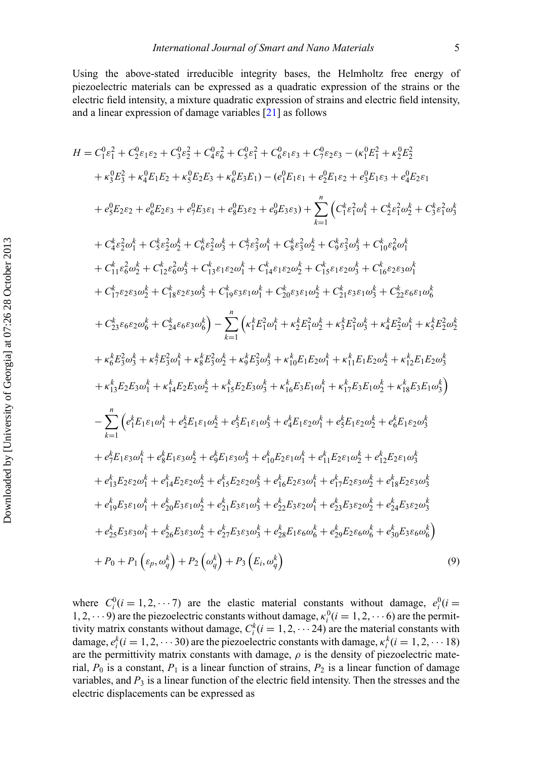Using the above-stated irreducible integrity bases, the Helmholtz free energy of piezoelectric materials can be expressed as a quadratic expression of the strains or the electric field intensity, a mixture quadratic expression of strains and electric field intensity, and a linear expression of damage variables [\[21\]](#page-21-19) as follows

$$
H = C_{1}^{6} \epsilon_{1}^{2} + C_{2}^{6} \epsilon_{1}^{2} \epsilon_{2} + C_{3}^{6} \epsilon_{2}^{2} + C_{4}^{6} \epsilon_{6}^{2} + C_{5}^{6} \epsilon_{1}^{2} \epsilon_{3} + C_{9}^{6} \epsilon_{2}^{2} \epsilon_{3} - (\kappa_{1}^{6} \epsilon_{1}^{2} + \kappa_{2}^{6} \epsilon_{2}^{2})
$$
  
\n
$$
+ \kappa_{3}^{6} \epsilon_{2}^{2} + \kappa_{4}^{6} \epsilon_{1}^{6} \epsilon_{2} + \kappa_{3}^{6} \epsilon_{2}^{2} \epsilon_{3} + \kappa_{6}^{6} \epsilon_{3}^{2} \epsilon_{1}) - (e_{1}^{6} \epsilon_{1}^{6} \epsilon_{1} + e_{2}^{6} \epsilon_{1}^{6} \epsilon_{2} + e_{3}^{6} \epsilon_{1}^{6} \epsilon_{3} + e_{4}^{6} \epsilon_{2}^{6} \epsilon_{1}^{6} \epsilon_{1}^{6} \epsilon_{1}^{6} \epsilon_{1}^{6} \epsilon_{1}^{6} \epsilon_{1}^{6} \epsilon_{1}^{6} \epsilon_{1}^{6} \epsilon_{1}^{6} \epsilon_{1}^{6} \epsilon_{1}^{6} \epsilon_{1}^{6} \epsilon_{1}^{6} \epsilon_{1}^{6} \epsilon_{1}^{6} \epsilon_{1}^{6} \epsilon_{1}^{6} \epsilon_{1}^{6} \epsilon_{1}^{6} \epsilon_{1}^{6} \epsilon_{1}^{6} \epsilon_{1}^{6} \epsilon_{1}^{6} \epsilon_{1}^{6} \epsilon_{1}^{6} \epsilon_{1}^{6} \epsilon_{1}^{6} \epsilon_{1}^{6} \epsilon_{1}^{6} \epsilon_{1}^{6} \epsilon_{1}^{6} \epsilon_{1}^{6} \epsilon_{1}^{6} \epsilon_{1}^{6} \epsilon_{1}^{6} \epsilon_{1}^{6} \epsilon_{1}^{6} \epsilon_{1}^{6} \epsilon_{1}^{6} \epsilon_{1}^{6} \epsilon_{1}^{6} \epsilon_{1}^{6} \epsilon_{1}^{6} \epsilon_{1}^{6} \epsilon_{1}^{6} \epsilon_{1}^{6} \epsilon_{1}^{6} \epsilon_{1}^{6} \epsilon_{1}^{6} \epsilon_{1}^{6} \epsilon_{1}^{6} \epsilon_{1}^{6} \epsilon_{1}^{6} \epsilon_{1}^{6}
$$

where  $C_i^0(i = 1, 2, \dots, 7)$  are the elastic material constants without damage,  $e_i^0(i = 1, 2, \dots, 7)$ 1, 2,  $\cdots$  9) are the piezoelectric constants without damage,  $\kappa_i^0$  ( $i = 1, 2, \cdots$  6) are the permittivity matrix constants without damage,  $C_i^k$  ( $i = 1, 2, \cdots 24$ ) are the material constants with damage,  $e_i^k(i = 1, 2, \dots 30)$  are the piezoelectric constants with damage,  $\kappa_i^k(i = 1, 2, \dots 18)$ are the permittivity matrix constants with damage,  $\rho$  is the density of piezoelectric material,  $P_0$  is a constant,  $P_1$  is a linear function of strains,  $P_2$  is a linear function of damage variables, and  $P_3$  is a linear function of the electric field intensity. Then the stresses and the electric displacements can be expressed as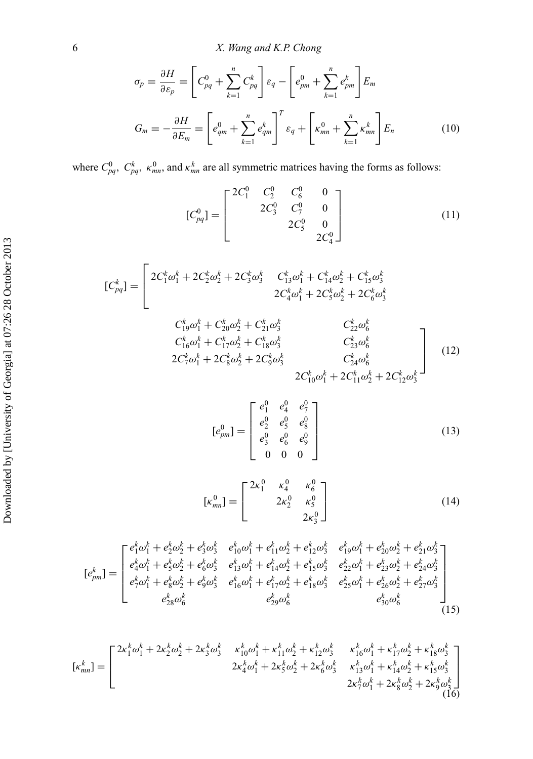$$
\sigma_p = \frac{\partial H}{\partial \varepsilon_p} = \left[ C_{pq}^0 + \sum_{k=1}^n C_{pq}^k \right] \varepsilon_q - \left[ e_{pm}^0 + \sum_{k=1}^n e_{pm}^k \right] E_m
$$
  

$$
G_m = -\frac{\partial H}{\partial E_m} = \left[ e_{qm}^0 + \sum_{k=1}^n e_{qm}^k \right]^T \varepsilon_q + \left[ \kappa_{mn}^0 + \sum_{k=1}^n \kappa_{mn}^k \right] E_n
$$
(10)

where  $C_{pq}^0$ ,  $C_{pq}^k$ ,  $\kappa_{mn}^0$ , and  $\kappa_{mn}^k$  are all symmetric matrices having the forms as follows:

$$
[C_{pq}^{0}] = \begin{bmatrix} 2C_1^0 & C_2^0 & C_6^0 & 0 \\ 2C_3^0 & C_7^0 & 0 \\ 2C_5^0 & 0 & 0 \\ 2C_4^0 & 0 & 0 \end{bmatrix}
$$
 (11)

$$
[C_{pq}^{k}] = \begin{bmatrix} 2C_{1}^{k}\omega_{1}^{k} + 2C_{2}^{k}\omega_{2}^{k} + 2C_{3}^{k}\omega_{3}^{k} & C_{13}^{k}\omega_{1}^{k} + C_{14}^{k}\omega_{2}^{k} + C_{15}^{k}\omega_{3}^{k} \\ 2C_{4}^{k}\omega_{1}^{k} + 2C_{5}^{k}\omega_{2}^{k} + 2C_{6}^{k}\omega_{3}^{k} \\ C_{19}^{k}\omega_{1}^{k} + C_{20}^{k}\omega_{2}^{k} + C_{21}^{k}\omega_{3}^{k} & C_{22}^{k}\omega_{6}^{k} \\ C_{16}^{k}\omega_{1}^{k} + C_{17}^{k}\omega_{2}^{k} + C_{18}^{k}\omega_{3}^{k} & C_{23}^{k}\omega_{6}^{k} \\ 2C_{7}^{k}\omega_{1}^{k} + 2C_{8}^{k}\omega_{2}^{k} + 2C_{9}^{k}\omega_{3}^{k} & C_{24}^{k}\omega_{6}^{k} \\ 2C_{10}^{k}\omega_{1}^{k} + 2C_{11}^{k}\omega_{2}^{k} + 2C_{12}^{k}\omega_{3}^{k} \end{bmatrix}
$$
(12)

$$
[e_{pm}^{0}] = \begin{bmatrix} e_1^{0} & e_4^{0} & e_7^{0} \\ e_2^{0} & e_5^{0} & e_8^{0} \\ e_3^{0} & e_6^{0} & e_9^{0} \\ 0 & 0 & 0 \end{bmatrix}
$$
 (13)

$$
[\kappa_{mn}^0] = \begin{bmatrix} 2\kappa_1^0 & \kappa_4^0 & \kappa_6^0 \\ 2\kappa_2^0 & \kappa_5^0 \\ 2\kappa_3^0 & 0 \end{bmatrix}
$$
 (14)

$$
[e_{pm}^{k}] = \begin{bmatrix} e_{1}^{k}\omega_{1}^{k} + e_{2}^{k}\omega_{2}^{k} + e_{3}^{k}\omega_{3}^{k} & e_{10}^{k}\omega_{1}^{k} + e_{11}^{k}\omega_{2}^{k} + e_{12}^{k}\omega_{3}^{k} & e_{19}^{k}\omega_{1}^{k} + e_{20}^{k}\omega_{2}^{k} + e_{21}^{k}\omega_{3}^{k} \\ e_{4}^{k}\omega_{1}^{k} + e_{5}^{k}\omega_{2}^{k} + e_{6}^{k}\omega_{3}^{k} & e_{13}^{k}\omega_{1}^{k} + e_{14}^{k}\omega_{2}^{k} + e_{13}^{k}\omega_{3}^{k} & e_{22}^{k}\omega_{1}^{k} + e_{23}^{k}\omega_{2}^{k} + e_{24}^{k}\omega_{3}^{k} \\ e_{7}^{k}\omega_{1}^{k} + e_{8}^{k}\omega_{2}^{k} + e_{9}^{k}\omega_{3}^{k} & e_{16}^{k}\omega_{1}^{k} + e_{17}^{k}\omega_{2}^{k} + e_{18}^{k}\omega_{3}^{k} & e_{25}^{k}\omega_{1}^{k} + e_{26}^{k}\omega_{2}^{k} + e_{27}^{k}\omega_{3}^{k} \\ e_{28}^{k}\omega_{6}^{k} & e_{29}^{k}\omega_{6}^{k} & e_{30}^{k}\omega_{6}^{k} \end{bmatrix} (15)
$$

$$
[\kappa_{mn}^k] = \begin{bmatrix} 2\kappa_1^k \omega_1^k + 2\kappa_2^k \omega_2^k + 2\kappa_3^k \omega_3^k & \kappa_{10}^k \omega_1^k + \kappa_{11}^k \omega_2^k + \kappa_{12}^k \omega_3^k & \kappa_{16}^k \omega_1^k + \kappa_{17}^k \omega_2^k + \kappa_{18}^k \omega_3^k \\ 2\kappa_4^k \omega_1^k + 2\kappa_5^k \omega_2^k + 2\kappa_6^k \omega_3^k & \kappa_{13}^k \omega_1^k + \kappa_{14}^k \omega_2^k + \kappa_{15}^k \omega_3^k \\ 2\kappa_7^k \omega_1^k + 2\kappa_8^k \omega_2^k + 2\kappa_8^k \omega_2^k + 2\kappa_9^k \omega_3^k \end{bmatrix} \tag{16}
$$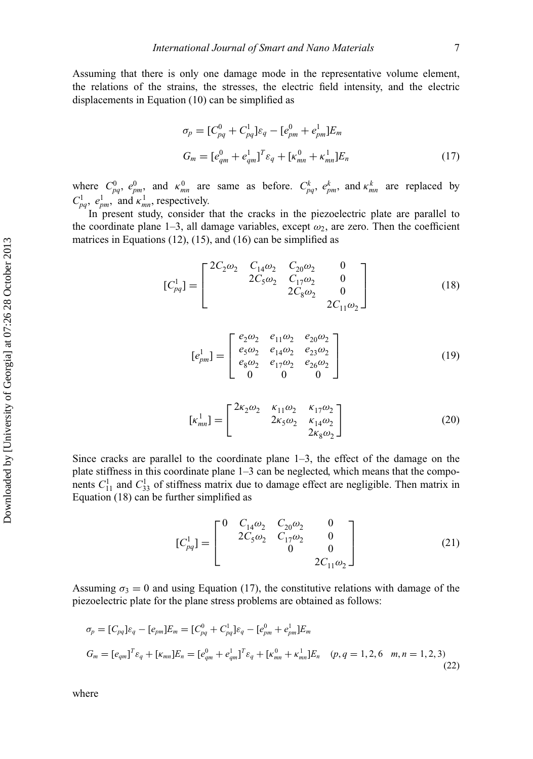Assuming that there is only one damage mode in the representative volume element, the relations of the strains, the stresses, the electric field intensity, and the electric displacements in Equation (10) can be simplified as

$$
\sigma_p = [C_{pq}^0 + C_{pq}^1] \varepsilon_q - [e_{pm}^0 + e_{pm}^1] E_m
$$
  
\n
$$
G_m = [e_{qm}^0 + e_{qm}^1]^{T} \varepsilon_q + [\kappa_{mn}^0 + \kappa_{mn}^1] E_n
$$
\n(17)

where  $C_{pq}^0$ ,  $e_{pm}^0$ , and  $\kappa_{mn}^0$  are same as before.  $C_{pq}^k$ ,  $e_{pm}^k$ , and  $\kappa_{mn}^k$  are replaced by  $C_{pq}^1$ ,  $e_{pm}^1$ , and  $\kappa_{mn}^1$ , respectively.

In present study, consider that the cracks in the piezoelectric plate are parallel to the coordinate plane 1–3, all damage variables, except  $\omega_2$ , are zero. Then the coefficient matrices in Equations (12), (15), and (16) can be simplified as

$$
[C_{pq}^1] = \begin{bmatrix} 2C_2\omega_2 & C_{14}\omega_2 & C_{20}\omega_2 & 0\\ 2C_5\omega_2 & C_{17}\omega_2 & 0\\ 2C_8\omega_2 & 0 & 2C_{11}\omega_2 \end{bmatrix}
$$
 (18)

$$
[e_{pm}^1] = \begin{bmatrix} e_2 \omega_2 & e_{11} \omega_2 & e_{20} \omega_2 \\ e_5 \omega_2 & e_{14} \omega_2 & e_{23} \omega_2 \\ e_8 \omega_2 & e_{17} \omega_2 & e_{26} \omega_2 \\ 0 & 0 & 0 \end{bmatrix}
$$
 (19)

$$
[\kappa_{mn}^1] = \begin{bmatrix} 2\kappa_2 \omega_2 & \kappa_{11} \omega_2 & \kappa_{17} \omega_2 \\ 2\kappa_5 \omega_2 & \kappa_{14} \omega_2 \\ 2\kappa_8 \omega_2 \end{bmatrix}
$$
 (20)

Since cracks are parallel to the coordinate plane  $1-3$ , the effect of the damage on the plate stiffness in this coordinate plane 1–3 can be neglected, which means that the components  $C_{11}^1$  and  $C_{33}^1$  of stiffness matrix due to damage effect are negligible. Then matrix in Equation (18) can be further simplified as

$$
[C_{pq}^1] = \begin{bmatrix} 0 & C_{14}\omega_2 & C_{20}\omega_2 & 0 \\ 2C_5\omega_2 & C_{17}\omega_2 & 0 \\ 0 & 0 & 0 \\ 0 & 2C_{11}\omega_2 \end{bmatrix} \tag{21}
$$

Assuming  $\sigma_3 = 0$  and using Equation (17), the constitutive relations with damage of the piezoelectric plate for the plane stress problems are obtained as follows:

$$
\sigma_p = [C_{pq}] \varepsilon_q - [e_{pm}] E_m = [C_{pq}^0 + C_{pq}^1] \varepsilon_q - [e_{pm}^0 + e_{pm}^1] E_m
$$
  
\n
$$
G_m = [e_{qm}]^T \varepsilon_q + [\kappa_{mn}] E_n = [e_{qm}^0 + e_{qm}^1]^T \varepsilon_q + [\kappa_{mn}^0 + \kappa_{mn}^1] E_n \quad (p, q = 1, 2, 6 \quad m, n = 1, 2, 3)
$$
\n(22)

where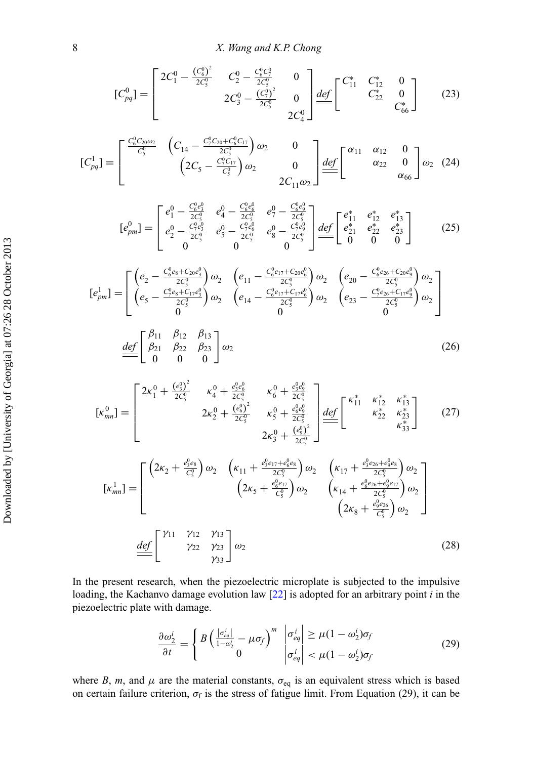$$
[C_{pq}^{0}] = \begin{bmatrix} 2C_{1}^{0} - \frac{(C_{6}^{0})^{2}}{2C_{5}^{0}} & C_{2}^{0} - \frac{C_{6}^{0}C_{7}^{0}}{2C_{5}^{0}} & 0\\ 2C_{3}^{0} - \frac{(C_{7}^{0})^{2}}{2C_{5}^{0}} & 0 \end{bmatrix} \underbrace{\frac{def}{=} \begin{bmatrix} C_{11}^{*} & C_{12}^{*} & 0\\ C_{22}^{*} & 0\\ C_{6}^{*} \end{bmatrix}}_{[C_{pq}^{1}] = \begin{bmatrix} \frac{C_{6}^{0}C_{20}\omega_{2}}{C_{5}^{0}} & \left(C_{14} - \frac{C_{7}^{0}C_{20} + C_{6}^{0}C_{17}}{2C_{5}^{0}}\right)\omega_{2} & 0\\ 2C_{11}\omega_{2} & 0 \end{bmatrix} \underbrace{\frac{def}{=} \begin{bmatrix} \alpha_{11} & \alpha_{12} & 0\\ \alpha_{22} & 0\\ \alpha_{32} & \alpha_{66} \end{bmatrix}}_{[C_{pq}^{1}] = \omega_{2} \end{bmatrix} (24)
$$

$$
[e_{pm}^{0}] = \begin{bmatrix} e_1^{0} - \frac{C_6^0 e_3^0}{2C_5^0} & e_4^{0} - \frac{C_6^0 e_6^0}{2C_5^0} & e_7^{0} - \frac{C_6^0 e_9^0}{2C_5^0} \\ e_2^{0} - \frac{C_7^0 e_3^0}{2C_5^0} & e_5^{0} - \frac{C_7^0 e_6^0}{2C_5^0} & e_8^{0} - \frac{C_7^0 e_9^0}{2C_5^0} \\ 0 & 0 & 0 \end{bmatrix} \underbrace{\text{def}}_{0} \begin{bmatrix} e_{11}^{*} & e_{12}^{*} & e_{13}^{*} \\ e_{21}^{*} & e_{22}^{*} & e_{23}^{*} \\ 0 & 0 & 0 \end{bmatrix} \qquad (25)
$$

$$
[e_{pm}^{1}] = \begin{bmatrix} \left(e_{2} - \frac{C_{6}^{0}e_{8} + C_{20}e_{3}^{0}}{2C_{5}^{0}}\right)\omega_{2} & \left(e_{11} - \frac{C_{6}^{0}e_{17} + C_{20}e_{6}^{0}}{2C_{5}^{0}}\right)\omega_{2} & \left(e_{20} - \frac{C_{6}^{0}e_{26} + C_{20}e_{9}^{0}}{2C_{5}^{0}}\right)\omega_{2} \\ \left(e_{5} - \frac{C_{7}^{0}e_{8} + C_{17}e_{3}^{0}}{2C_{5}^{0}}\right)\omega_{2} & \left(e_{14} - \frac{C_{6}^{0}e_{17} + C_{17}e_{6}^{0}}{2C_{5}^{0}}\right)\omega_{2} & \left(e_{23} - \frac{C_{7}^{0}e_{26} + C_{17}e_{9}^{0}}{2C_{5}^{0}}\right)\omega_{2} \\ 0 & 0 & 0 \end{bmatrix}
$$
\n
$$
\stackrel{def}{=} \begin{bmatrix} \beta_{11} & \beta_{12} & \beta_{13} \\ \beta_{21} & \beta_{22} & \beta_{23} \\ 0 & 0 & 0 \end{bmatrix} \omega_{2}
$$
\n(26)

$$
[\kappa_{mn}^{0}] = \begin{bmatrix} 2\kappa_{1}^{0} + \frac{(\epsilon_{3}^{0})^{2}}{2C_{5}^{0}} & \kappa_{4}^{0} + \frac{\epsilon_{3}^{0}\epsilon_{6}^{0}}{2C_{5}^{0}} & \kappa_{6}^{0} + \frac{\epsilon_{3}^{0}\epsilon_{9}^{0}}{2C_{5}^{0}} \\ 2\kappa_{2}^{0} + \frac{(\epsilon_{6}^{0})^{2}}{2C_{5}^{0}} & \kappa_{5}^{0} + \frac{\epsilon_{6}^{0}\epsilon_{9}^{0}}{2C_{5}^{0}} \\ 2\kappa_{3}^{0} + \frac{(\epsilon_{9}^{0})^{2}}{2C_{5}^{0}} \end{bmatrix} \frac{\underline{def}}{=} \begin{bmatrix} \kappa_{11}^{*} & \kappa_{12}^{*} & \kappa_{13}^{*} \\ \kappa_{22}^{*} & \kappa_{23}^{*} \\ \kappa_{33}^{*} \end{bmatrix}
$$
(27)  

$$
[\kappa_{mn}^{1}] = \begin{bmatrix} (2\kappa_{2} + \frac{\epsilon_{3}^{0}\epsilon_{8}}{C_{5}^{0}}) \omega_{2} & (\kappa_{11} + \frac{\epsilon_{3}^{0}\epsilon_{17} + \epsilon_{6}^{0}\epsilon_{8}}{2C_{5}^{0}}) \omega_{2} & (\kappa_{14} + \frac{\epsilon_{3}^{0}\epsilon_{26} + \epsilon_{9}^{0}\epsilon_{8}}{2C_{5}^{0}}) \omega_{2} \\ (2\kappa_{5} + \frac{\epsilon_{6}^{0}\epsilon_{17}}{C_{5}^{0}}) \omega_{2} & (\kappa_{14} + \frac{\epsilon_{6}^{0}\epsilon_{26} + \epsilon_{9}^{0}\epsilon_{17}}{2C_{5}^{0}}) \omega_{2} \end{bmatrix}
$$
  

$$
\frac{\underline{def}}{=} \begin{bmatrix} \gamma_{11} & \gamma_{12} & \gamma_{13} \\ \gamma_{22} & \gamma_{23} \\ \gamma_{33} \end{bmatrix} \omega_{2}
$$
(28)

In the present research, when the piezoelectric microplate is subjected to the impulsive loading, the Kachanvo damage evolution law [\[22\]](#page-21-20) is adopted for an arbitrary point *i* in the piezoelectric plate with damage.

$$
\frac{\partial \omega_2^i}{\partial t} = \begin{cases} B \left( \frac{|\sigma_{eq}^i|}{1 - \omega_2^i} - \mu \sigma_f \right)^m & |\sigma_{eq}^i| \ge \mu (1 - \omega_2^i) \sigma_f \\ 0 & |\sigma_{eq}^i| < \mu (1 - \omega_2^i) \sigma_f \end{cases}
$$
(29)

where *B*, *m*, and  $\mu$  are the material constants,  $\sigma_{eq}$  is an equivalent stress which is based on certain failure criterion,  $\sigma_f$  is the stress of fatigue limit. From Equation (29), it can be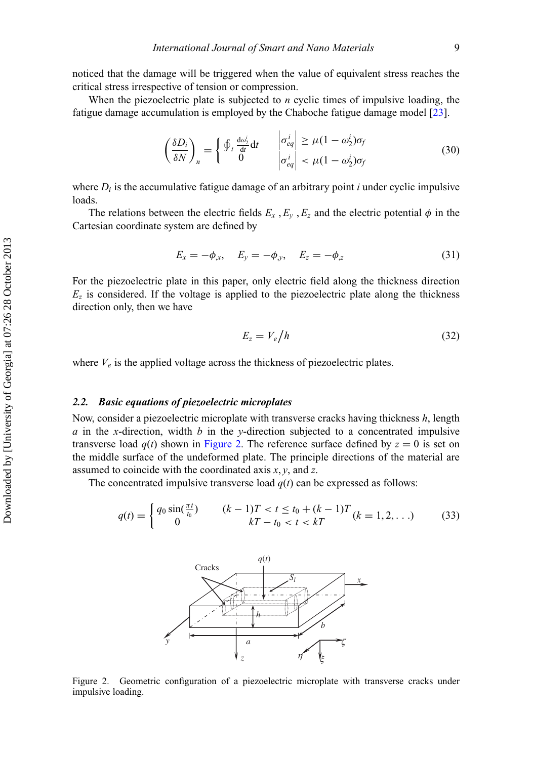noticed that the damage will be triggered when the value of equivalent stress reaches the critical stress irrespective of tension or compression.

When the piezoelectric plate is subjected to *n* cyclic times of impulsive loading, the fatigue damage accumulation is employed by the Chaboche fatigue damage model [\[23\]](#page-21-21).

$$
\left(\frac{\delta D_i}{\delta N}\right)_n = \begin{cases} \oint_t \frac{d\omega_2^i}{dt} dt & \left|\frac{\sigma_{eq}^i}{\sigma_{eq}}\right| \ge \mu (1 - \omega_2^i) \sigma_f \\ 0 & \left|\frac{\sigma_{eq}^i}{\sigma_{eq}^i}\right| < \mu (1 - \omega_2^i) \sigma_f \end{cases}
$$
(30)

where  $D_i$  is the accumulative fatigue damage of an arbitrary point *i* under cyclic impulsive loads.

The relations between the electric fields  $E_x$ ,  $E_y$ ,  $E_z$  and the electric potential  $\phi$  in the Cartesian coordinate system are defined by

$$
E_x = -\phi_x, \quad E_y = -\phi_y, \quad E_z = -\phi_z \tag{31}
$$

For the piezoelectric plate in this paper, only electric field along the thickness direction  $E<sub>z</sub>$  is considered. If the voltage is applied to the piezoelectric plate along the thickness direction only, then we have

$$
E_z = V_e / h \tag{32}
$$

where  $V_e$  is the applied voltage across the thickness of piezoelectric plates.

# *2.2. Basic equations of piezoelectric microplates*

Now, consider a piezoelectric microplate with transverse cracks having thickness *h*, length *a* in the *x*-direction, width *b* in the *y*-direction subjected to a concentrated impulsive transverse load  $q(t)$  shown in [Figure 2.](#page-10-0) The reference surface defined by  $z = 0$  is set on the middle surface of the undeformed plate. The principle directions of the material are assumed to coincide with the coordinated axis *x*, *y*, and *z*.

The concentrated impulsive transverse load  $q(t)$  can be expressed as follows:

<span id="page-10-0"></span>
$$
q(t) = \begin{cases} q_0 \sin(\frac{\pi t}{t_0}) & (k-1)T < t \le t_0 + (k-1)T \\ 0 & kT - t_0 < t < kT \end{cases} \quad (33)
$$



Figure 2. Geometric configuration of a piezoelectric microplate with transverse cracks under impulsive loading.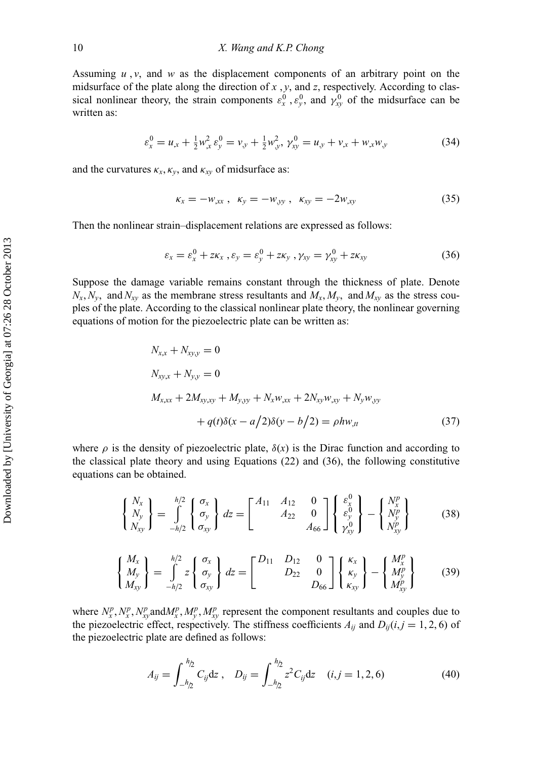Assuming  $u$ ,  $v$ , and  $w$  as the displacement components of an arbitrary point on the midsurface of the plate along the direction of *x* , *y*, and *z*, respectively. According to classical nonlinear theory, the strain components  $\varepsilon_x^0$ ,  $\varepsilon_y^0$ , and  $\gamma_{xy}^0$  of the midsurface can be written as:

$$
\varepsilon_x^0 = u_{,x} + \frac{1}{2} w_{,x}^2 \varepsilon_y^0 = v_{,y} + \frac{1}{2} w_{,y}^2, \ \gamma_{xy}^0 = u_{,y} + v_{,x} + w_{,x} w_{,y} \tag{34}
$$

and the curvatures  $\kappa_x, \kappa_y$ , and  $\kappa_{xy}$  of midsurface as:

$$
\kappa_x = -w_{,xx}, \ \kappa_y = -w_{,yy}, \ \kappa_{xy} = -2w_{,xy}
$$
 (35)

Then the nonlinear strain–displacement relations are expressed as follows:

$$
\varepsilon_x = \varepsilon_x^0 + z\kappa_x , \varepsilon_y = \varepsilon_y^0 + z\kappa_y , \gamma_{xy} = \gamma_{xy}^0 + z\kappa_{xy}
$$
 (36)

Suppose the damage variable remains constant through the thickness of plate. Denote  $N_x$ ,  $N_y$ , and  $N_{xy}$  as the membrane stress resultants and  $M_x$ ,  $M_y$ , and  $M_{xy}$  as the stress couples of the plate. According to the classical nonlinear plate theory, the nonlinear governing equations of motion for the piezoelectric plate can be written as:

$$
N_{x,x} + N_{xy,y} = 0
$$
  
\n
$$
N_{xy,x} + N_{y,y} = 0
$$
  
\n
$$
M_{x,xx} + 2M_{xy,xy} + M_{y,yy} + N_x w_{,xx} + 2N_{xy} w_{,xy} + N_y w_{,yy}
$$
  
\n
$$
+ q(t)\delta(x - a/2)\delta(y - b/2) = \rho h w_{,tt}
$$
\n(37)

where  $\rho$  is the density of piezoelectric plate,  $\delta(x)$  is the Dirac function and according to the classical plate theory and using Equations (22) and (36), the following constitutive equations can be obtained.

$$
\begin{Bmatrix} N_x \\ N_y \\ N_{xy} \end{Bmatrix} = \int_{-h/2}^{h/2} \begin{Bmatrix} \sigma_x \\ \sigma_y \\ \sigma_{xy} \end{Bmatrix} dz = \begin{bmatrix} A_{11} & A_{12} & 0 \\ & A_{22} & 0 \\ & & A_{66} \end{bmatrix} \begin{Bmatrix} \varepsilon_y^0 \\ \varepsilon_y^0 \\ \gamma_{xy}^0 \end{Bmatrix} - \begin{Bmatrix} N_x^p \\ N_y^p \\ N_{xy}^p \end{Bmatrix}
$$
(38)

$$
\begin{Bmatrix} M_x \\ M_y \\ M_{xy} \end{Bmatrix} = \int_{-h/2}^{h/2} z \begin{Bmatrix} \sigma_x \\ \sigma_y \\ \sigma_{xy} \end{Bmatrix} dz = \begin{bmatrix} D_{11} & D_{12} & 0 \\ D_{22} & 0 \\ D_{66} \end{bmatrix} \begin{Bmatrix} \kappa_x \\ \kappa_y \\ \kappa_{xy} \end{Bmatrix} - \begin{Bmatrix} M_x^p \\ M_y^p \\ M_{xy}^p \end{Bmatrix}
$$
(39)

where  $N_x^p, N_x^p, N_{xy}^p$  and  $M_x^p, M_y^p, M_{xy}^p$  represent the component resultants and couples due to the piezoelectric effect, respectively. The stiffness coefficients  $A_{ij}$  and  $D_{ij}(i, j = 1, 2, 6)$  of the piezoelectric plate are defined as follows:

$$
A_{ij} = \int_{-h_2}^{h_2} C_{ij} dz , \quad D_{ij} = \int_{-h_2}^{h_2} z^2 C_{ij} dz \quad (i, j = 1, 2, 6)
$$
 (40)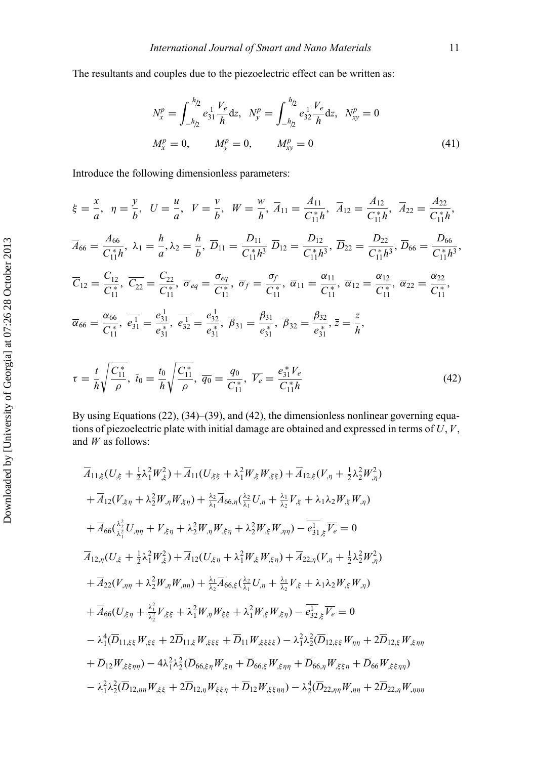The resultants and couples due to the piezoelectric effect can be written as:

$$
N_x^p = \int_{-h/2}^{h/2} e_{31}^1 \frac{V_e}{h} dz, \quad N_y^p = \int_{-h/2}^{h/2} e_{32}^1 \frac{V_e}{h} dz, \quad N_{xy}^p = 0
$$
  

$$
M_x^p = 0, \qquad M_y^p = 0, \qquad M_{xy}^p = 0
$$
 (41)

Introduce the following dimensionless parameters:

$$
\xi = \frac{x}{a}, \quad \eta = \frac{y}{b}, \quad U = \frac{u}{a}, \quad V = \frac{v}{b}, \quad W = \frac{w}{h}, \quad \overline{A}_{11} = \frac{A_{11}}{C_{11}^*h}, \quad \overline{A}_{12} = \frac{A_{12}}{C_{11}^*h}, \quad \overline{A}_{22} = \frac{A_{22}}{C_{11}^*h},
$$
\n
$$
\overline{A}_{66} = \frac{A_{66}}{C_{11}^*h}, \quad \lambda_1 = \frac{h}{a}, \lambda_2 = \frac{h}{b}, \quad \overline{D}_{11} = \frac{D_{11}}{C_{11}^*h^3}, \quad \overline{D}_{12} = \frac{D_{12}}{C_{11}^*h^3}, \quad \overline{D}_{22} = \frac{D_{22}}{C_{11}^*h^3}, \quad \overline{D}_{66} = \frac{D_{66}}{C_{11}^*h^3},
$$
\n
$$
\overline{C}_{12} = \frac{C_{12}}{C_{11}^*}, \quad \overline{C}_{22} = \frac{C_{22}}{C_{11}^*}, \quad \overline{\sigma}_{eq} = \frac{\sigma_{eq}}{C_{11}^*}, \quad \overline{\sigma}_{f} = \frac{\sigma_{f}}{C_{11}^*}, \quad \overline{\alpha}_{11} = \frac{\alpha_{11}}{C_{11}^*}, \quad \overline{\alpha}_{12} = \frac{\alpha_{12}}{C_{11}^*}, \quad \overline{\alpha}_{22} = \frac{\alpha_{22}}{C_{11}^*},
$$
\n
$$
\overline{\alpha}_{66} = \frac{\alpha_{66}}{C_{11}^*}, \quad \overline{e_{31}^1} = \frac{e_{31}^1}{e_{31}^*}, \quad \overline{e_{32}^1} = \frac{e_{32}^1}{e_{31}^*}, \quad \overline{\beta}_{31} = \frac{\beta_{31}}{e_{31}^*}, \quad \overline{\beta}_{32} = \frac{\beta_{32}}{e_{31}^*}, \quad \overline{z} = \frac{z}{h},
$$
\n
$$
\tau = \frac{t}{h} \sqrt{\frac{C_{11}^*}{\rho}}, \quad \overline{
$$

By using Equations (22), (34)–(39), and (42), the dimensionless nonlinear governing equations of piezoelectric plate with initial damage are obtained and expressed in terms of *U*, *V*, and *W* as follows:

$$
\overline{A}_{11,\xi}(U_{,\xi} + \frac{1}{2}\lambda_{1}^{2}W_{,\xi}^{2}) + \overline{A}_{11}(U_{,\xi\xi} + \lambda_{1}^{2}W_{,\xi}W_{,\xi\xi}) + \overline{A}_{12,\xi}(V_{,\eta} + \frac{1}{2}\lambda_{2}^{2}W_{,\eta}^{2}) \n+ \overline{A}_{12}(V_{,\xi\eta} + \lambda_{2}^{2}W_{,\eta}W_{,\xi\eta}) + \frac{\lambda_{2}}{\lambda_{1}}\overline{A}_{66,\eta}(\frac{\lambda_{2}}{\lambda_{1}}U_{,\eta} + \frac{\lambda_{1}}{\lambda_{2}}V_{,\xi} + \lambda_{1}\lambda_{2}W_{,\xi}W_{,\eta}) \n+ \overline{A}_{66}(\frac{\lambda_{2}^{2}}{\lambda_{1}^{2}}U_{,\eta\eta} + V_{,\xi\eta} + \lambda_{2}^{2}W_{,\eta}W_{,\xi\eta} + \lambda_{2}^{2}W_{,\xi}W_{,\eta\eta}) - \overline{e_{31,\xi}^{1}}\overline{V_{\epsilon}} = 0 \n\overline{A}_{12,\eta}(U_{,\xi} + \frac{1}{2}\lambda_{1}^{2}W_{,\xi}^{2}) + \overline{A}_{12}(U_{,\xi\eta} + \lambda_{1}^{2}W_{,\xi}W_{,\xi\eta}) + \overline{A}_{22,\eta}(V_{,\eta} + \frac{1}{2}\lambda_{2}^{2}W_{,\eta}^{2}) \n+ \overline{A}_{22}(V_{,\eta\eta} + \lambda_{2}^{2}W_{,\eta}W_{,\eta\eta}) + \frac{\lambda_{1}}{\lambda_{2}}\overline{A}_{66,\xi}(\frac{\lambda_{2}}{\lambda_{1}}U_{,\eta} + \frac{\lambda_{1}}{\lambda_{2}}V_{,\xi} + \lambda_{1}\lambda_{2}W_{,\xi}W_{,\eta}) \n+ \overline{A}_{66}(U_{,\xi\eta} + \frac{\lambda_{1}^{2}}{\lambda_{2}^{2}}V_{,\xi\xi} + \lambda_{1}^{2}W_{,\eta}W_{\xi\xi} + \lambda_{1}^{2}W_{,\xi}W_{,\xi\eta}) - \overline{e_{32,\xi}^{1}}\overline{V_{\epsilon}} = 0 \n- \lambda_{1}^{4}(\overline{D}_{11,\xi\xi}W_{,\xi\xi} + 2\overline{D}_{11,\xi}W
$$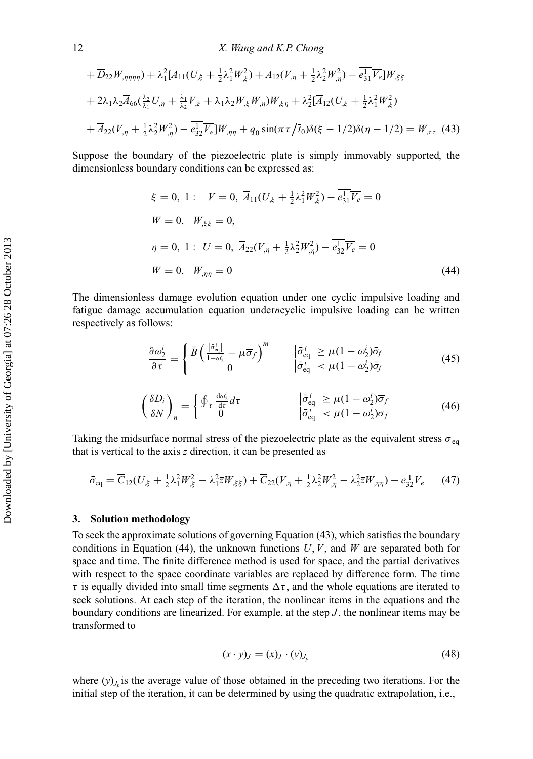$$
+\overline{D}_{22}W_{,\eta\eta\eta\eta} + \lambda_1^2 [\overline{A}_{11}(U_{,\xi} + \frac{1}{2}\lambda_1^2 W_{,\xi}^2) + \overline{A}_{12}(V_{,\eta} + \frac{1}{2}\lambda_2^2 W_{,\eta}^2) - \overline{e_{31}^1 V_{\epsilon}}]W_{,\xi\xi}
$$
  
+  $2\lambda_1\lambda_2\overline{A}_{66}(\frac{\lambda_2}{\lambda_1}U_{,\eta} + \frac{\lambda_1}{\lambda_2}V_{,\xi} + \lambda_1\lambda_2 W_{,\xi}W_{,\eta})W_{,\xi\eta} + \lambda_2^2 [\overline{A}_{12}(U_{,\xi} + \frac{1}{2}\lambda_1^2 W_{,\xi}^2) + \overline{A}_{22}(V_{,\eta} + \frac{1}{2}\lambda_2^2 W_{,\eta}^2) - \overline{e_{32}^1 V_{\epsilon}}]W_{,\eta\eta} + \overline{q}_0 \sin(\pi \tau / \overline{t}_0)\delta(\xi - 1/2)\delta(\eta - 1/2) = W_{,\tau\tau}$ (43)

Suppose the boundary of the piezoelectric plate is simply immovably supported, the dimensionless boundary conditions can be expressed as:

$$
\xi = 0, 1: \quad V = 0, \quad \overline{A}_{11}(U_{,\xi} + \frac{1}{2}\lambda_1^2 W_{,\xi}^2) - \overline{e_{31}^1 V_e} = 0
$$
\n
$$
W = 0, \quad W_{,\xi\xi} = 0,
$$
\n
$$
\eta = 0, 1: \quad U = 0, \quad \overline{A}_{22}(V_{,\eta} + \frac{1}{2}\lambda_2^2 W_{,\eta}^2) - \overline{e_{32}^1 V_e} = 0
$$
\n
$$
W = 0, \quad W_{,\eta\eta} = 0
$$
\n(44)

The dimensionless damage evolution equation under one cyclic impulsive loading and fatigue damage accumulation equation under*n*cyclic impulsive loading can be written respectively as follows:

$$
\frac{\partial \omega_2^i}{\partial \tau} = \begin{cases} \bar{B} \left( \frac{|\bar{\sigma}_{\text{eq}}^i|}{1 - \omega_2^i} - \mu \overline{\sigma}_f \right)^m & |\bar{\sigma}_{\text{eq}}^i| \ge \mu (1 - \omega_2^i) \bar{\sigma}_f \\ 0 & |\bar{\sigma}_{\text{eq}}^i| < \mu (1 - \omega_2^i) \bar{\sigma}_f \end{cases} \tag{45}
$$

$$
\left(\frac{\delta D_i}{\delta N}\right)_n = \begin{cases} \oint_\tau \frac{\mathrm{d}\omega_2^i}{\mathrm{d}\tau} d\tau & \qquad |\bar{\sigma}_{\text{eq}}^i| \ge \mu (1 - \omega_2^i) \overline{\sigma}_f\\ \left|\bar{\sigma}_{\text{eq}}^i\right| < \mu (1 - \omega_2^i) \overline{\sigma}_f \end{cases} \tag{46}
$$

Taking the midsurface normal stress of the piezoelectric plate as the equivalent stress  $\overline{\sigma}_{eq}$ that is vertical to the axis *z* direction, it can be presented as

$$
\bar{\sigma}_{\text{eq}} = \overline{C}_{12}(U_{.k} + \frac{1}{2}\lambda_1^2 W_{.k}^2 - \lambda_1^2 \overline{z}W_{.k\bar{z}}) + \overline{C}_{22}(V_{.n} + \frac{1}{2}\lambda_2^2 W_{.n}^2 - \lambda_2^2 \overline{z}W_{.n\eta}) - \overline{e_{32}^1 V_{\epsilon}} \tag{47}
$$

#### **3. Solution methodology**

To seek the approximate solutions of governing Equation (43), which satisfies the boundary conditions in Equation (44), the unknown functions  $U, V$ , and  $W$  are separated both for space and time. The finite difference method is used for space, and the partial derivatives with respect to the space coordinate variables are replaced by difference form. The time  $\tau$  is equally divided into small time segments  $\Delta \tau$ , and the whole equations are iterated to seek solutions. At each step of the iteration, the nonlinear items in the equations and the boundary conditions are linearized. For example, at the step *J*, the nonlinear items may be transformed to

$$
(x \cdot y)_J = (x)_J \cdot (y)_{J_p} \tag{48}
$$

where  $(y)$ <sub>*J<sub>n</sub>* is the average value of those obtained in the preceding two iterations. For the</sub> initial step of the iteration, it can be determined by using the quadratic extrapolation, i.e.,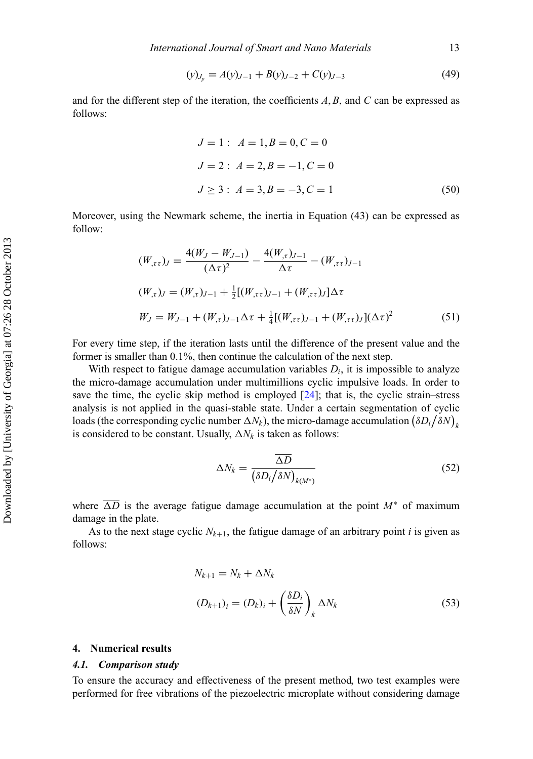$$
(y)_{J_p} = A(y)_{J-1} + B(y)_{J-2} + C(y)_{J-3}
$$
\n(49)

and for the different step of the iteration, the coefficients *A*, *B*, and *C* can be expressed as follows:

$$
J = 1: A = 1, B = 0, C = 0
$$
  
\n
$$
J = 2: A = 2, B = -1, C = 0
$$
  
\n
$$
J \ge 3: A = 3, B = -3, C = 1
$$
 (50)

Moreover, using the Newmark scheme, the inertia in Equation (43) can be expressed as follow:

$$
(W_{,\tau\tau})_J = \frac{4(W_J - W_{J-1})}{(\Delta \tau)^2} - \frac{4(W_{,\tau})_{J-1}}{\Delta \tau} - (W_{,\tau\tau})_{J-1}
$$
  

$$
(W_{,\tau})_J = (W_{,\tau})_{J-1} + \frac{1}{2}[(W_{,\tau\tau})_{J-1} + (W_{,\tau\tau})_J]\Delta \tau
$$
  

$$
W_J = W_{J-1} + (W_{,\tau})_{J-1}\Delta \tau + \frac{1}{4}[(W_{,\tau\tau})_{J-1} + (W_{,\tau\tau})_J](\Delta \tau)^2
$$
(51)

For every time step, if the iteration lasts until the difference of the present value and the former is smaller than 0.1%, then continue the calculation of the next step.

With respect to fatigue damage accumulation variables  $D_i$ , it is impossible to analyze the micro-damage accumulation under multimillions cyclic impulsive loads. In order to save the time, the cyclic skip method is employed [\[24\]](#page-21-22); that is, the cyclic strain–stress analysis is not applied in the quasi-stable state. Under a certain segmentation of cyclic loads (the corresponding cyclic number  $\Delta N_k$ ), the micro-damage accumulation  $(\delta D_i/\delta N)_{k}$ is considered to be constant. Usually,  $\Delta N_k$  is taken as follows:

$$
\Delta N_k = \frac{\overline{\Delta D}}{\left(\delta D_i / \delta N\right)_{k(M^*)}}
$$
(52)

where  $\overline{\Delta D}$  is the average fatigue damage accumulation at the point  $M^*$  of maximum damage in the plate.

As to the next stage cyclic  $N_{k+1}$ , the fatigue damage of an arbitrary point *i* is given as follows:

$$
N_{k+1} = N_k + \Delta N_k
$$
  
\n
$$
(D_{k+1})_i = (D_k)_i + \left(\frac{\delta D_i}{\delta N}\right)_k \Delta N_k
$$
\n(53)

# **4. Numerical results**

#### *4.1. Comparison study*

To ensure the accuracy and effectiveness of the present method, two test examples were performed for free vibrations of the piezoelectric microplate without considering damage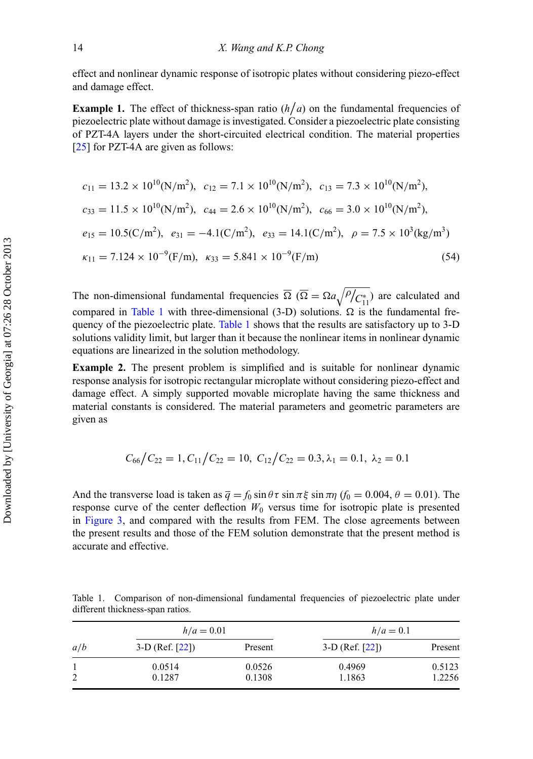effect and nonlinear dynamic response of isotropic plates without considering piezo-effect and damage effect.

**Example 1.** The effect of thickness-span ratio  $(h/a)$  on the fundamental frequencies of piezoelectric plate without damage is investigated. Consider a piezoelectric plate consisting of PZT-4A layers under the short-circuited electrical condition. The material properties [\[25\]](#page-21-23) for PZT-4A are given as follows:

$$
c_{11} = 13.2 \times 10^{10} (N/m^2), \quad c_{12} = 7.1 \times 10^{10} (N/m^2), \quad c_{13} = 7.3 \times 10^{10} (N/m^2),
$$
\n
$$
c_{33} = 11.5 \times 10^{10} (N/m^2), \quad c_{44} = 2.6 \times 10^{10} (N/m^2), \quad c_{66} = 3.0 \times 10^{10} (N/m^2),
$$
\n
$$
e_{15} = 10.5 (C/m^2), \quad e_{31} = -4.1 (C/m^2), \quad e_{33} = 14.1 (C/m^2), \quad \rho = 7.5 \times 10^3 (kg/m^3)
$$
\n
$$
\kappa_{11} = 7.124 \times 10^{-9} (F/m), \quad \kappa_{33} = 5.841 \times 10^{-9} (F/m) \tag{54}
$$

The non-dimensional fundamental frequencies  $\overline{\Omega}$  ( $\overline{\Omega} = \Omega a \sqrt{\overline{P}/C_{11}^*}$ ) are calculated and compared in [Table 1](#page-15-0) with three-dimensional (3-D) solutions.  $\Omega$  is the fundamental frequency of the piezoelectric plate. [Table 1](#page-15-0) shows that the results are satisfactory up to 3-D solutions validity limit, but larger than it because the nonlinear items in nonlinear dynamic equations are linearized in the solution methodology.

**Example 2.** The present problem is simplified and is suitable for nonlinear dynamic response analysis for isotropic rectangular microplate without considering piezo-effect and damage effect. A simply supported movable microplate having the same thickness and material constants is considered. The material parameters and geometric parameters are given as

$$
C_{66}/C_{22}=1, C_{11}/C_{22}=10, C_{12}/C_{22}=0.3, \lambda_1=0.1, \lambda_2=0.1
$$

And the transverse load is taken as  $\bar{q} = f_0 \sin \theta \tau \sin \pi \xi \sin \pi \eta$  ( $f_0 = 0.004$ ,  $\theta = 0.01$ ). The response curve of the center deflection  $W_0$  versus time for isotropic plate is presented in [Figure 3,](#page-16-0) and compared with the results from FEM. The close agreements between the present results and those of the FEM solution demonstrate that the present method is accurate and effective.

|                                  | Table 1. Comparison of non-dimensional fundamental frequencies of piezoelectric plate under |  |  |  |
|----------------------------------|---------------------------------------------------------------------------------------------|--|--|--|
| different thickness-span ratios. |                                                                                             |  |  |  |

<span id="page-15-0"></span>

| a/b | $h/a = 0.01$      |         | $h/a = 0.1$       |         |  |  |
|-----|-------------------|---------|-------------------|---------|--|--|
|     | $3-D$ (Ref. [22]) | Present | $3-D$ (Ref. [22]) | Present |  |  |
|     | 0.0514            | 0.0526  | 0.4969            | 0.5123  |  |  |
| 2   | 0.1287            | 0.1308  | 1.1863            | 1.2256  |  |  |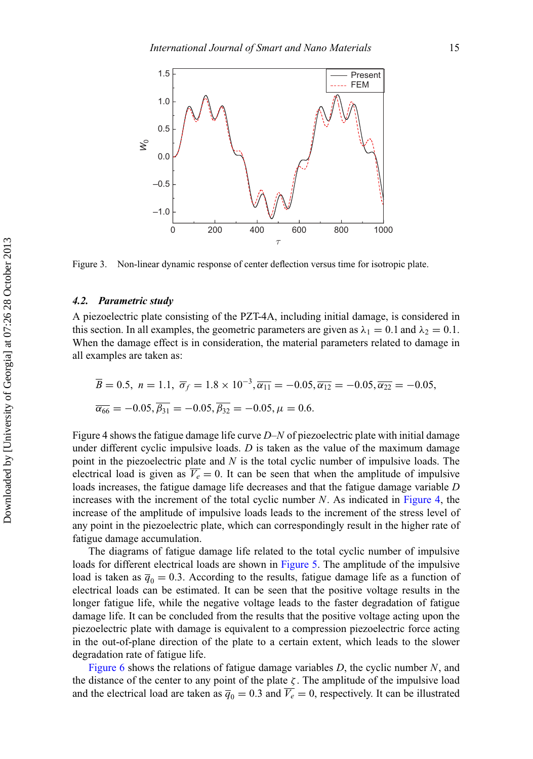<span id="page-16-0"></span>

Figure 3. Non-linear dynamic response of center deflection versus time for isotropic plate.

# *4.2. Parametric study*

A piezoelectric plate consisting of the PZT-4A, including initial damage, is considered in this section. In all examples, the geometric parameters are given as  $\lambda_1 = 0.1$  and  $\lambda_2 = 0.1$ . When the damage effect is in consideration, the material parameters related to damage in all examples are taken as:

$$
\overline{B} = 0.5, \ n = 1.1, \ \overline{\sigma}_f = 1.8 \times 10^{-3}, \overline{\alpha}_{11} = -0.05, \overline{\alpha}_{12} = -0.05, \overline{\alpha}_{22} = -0.05, \n\overline{\alpha}_{66} = -0.05, \overline{\beta}_{31} = -0.05, \overline{\beta}_{32} = -0.05, \mu = 0.6.
$$

Figure 4 shows the fatigue damage life curve *D*–*N* of piezoelectric plate with initial damage under different cyclic impulsive loads. *D* is taken as the value of the maximum damage point in the piezoelectric plate and *N* is the total cyclic number of impulsive loads. The electrical load is given as  $\overline{V_e} = 0$ . It can be seen that when the amplitude of impulsive loads increases, the fatigue damage life decreases and that the fatigue damage variable *D* increases with the increment of the total cyclic number *N*. As indicated in [Figure 4,](#page-17-0) the increase of the amplitude of impulsive loads leads to the increment of the stress level of any point in the piezoelectric plate, which can correspondingly result in the higher rate of fatigue damage accumulation.

The diagrams of fatigue damage life related to the total cyclic number of impulsive loads for different electrical loads are shown in [Figure 5.](#page-17-1) The amplitude of the impulsive load is taken as  $\bar{q}_0 = 0.3$ . According to the results, fatigue damage life as a function of electrical loads can be estimated. It can be seen that the positive voltage results in the longer fatigue life, while the negative voltage leads to the faster degradation of fatigue damage life. It can be concluded from the results that the positive voltage acting upon the piezoelectric plate with damage is equivalent to a compression piezoelectric force acting in the out-of-plane direction of the plate to a certain extent, which leads to the slower degradation rate of fatigue life.

[Figure 6](#page-18-0) shows the relations of fatigue damage variables *D*, the cyclic number *N*, and the distance of the center to any point of the plate  $\zeta$ . The amplitude of the impulsive load and the electrical load are taken as  $\overline{q}_0 = 0.3$  and  $\overline{V_e} = 0$ , respectively. It can be illustrated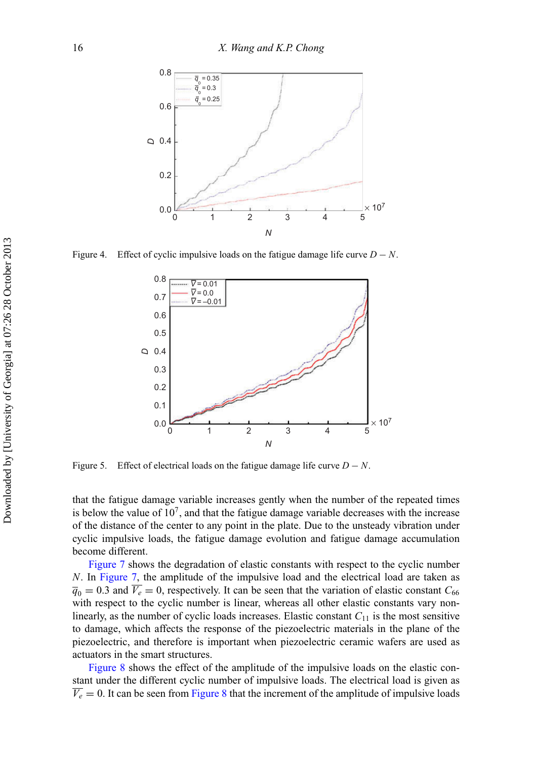<span id="page-17-0"></span>

<span id="page-17-1"></span>Figure 4. Effect of cyclic impulsive loads on the fatigue damage life curve  $D - N$ .



Figure 5. Effect of electrical loads on the fatigue damage life curve  $D - N$ .

that the fatigue damage variable increases gently when the number of the repeated times is below the value of  $10<sup>7</sup>$ , and that the fatigue damage variable decreases with the increase of the distance of the center to any point in the plate. Due to the unsteady vibration under cyclic impulsive loads, the fatigue damage evolution and fatigue damage accumulation become different.

[Figure 7](#page-18-1) shows the degradation of elastic constants with respect to the cyclic number *N*. In [Figure 7,](#page-18-1) the amplitude of the impulsive load and the electrical load are taken as  $\overline{q}_0 = 0.3$  and  $\overline{V_e} = 0$ , respectively. It can be seen that the variation of elastic constant  $C_{66}$ with respect to the cyclic number is linear, whereas all other elastic constants vary nonlinearly, as the number of cyclic loads increases. Elastic constant  $C_{11}$  is the most sensitive to damage, which affects the response of the piezoelectric materials in the plane of the piezoelectric, and therefore is important when piezoelectric ceramic wafers are used as actuators in the smart structures.

[Figure 8](#page-19-0) shows the effect of the amplitude of the impulsive loads on the elastic constant under the different cyclic number of impulsive loads. The electrical load is given as  $V_e = 0$ . It can be seen from [Figure 8](#page-19-0) that the increment of the amplitude of impulsive loads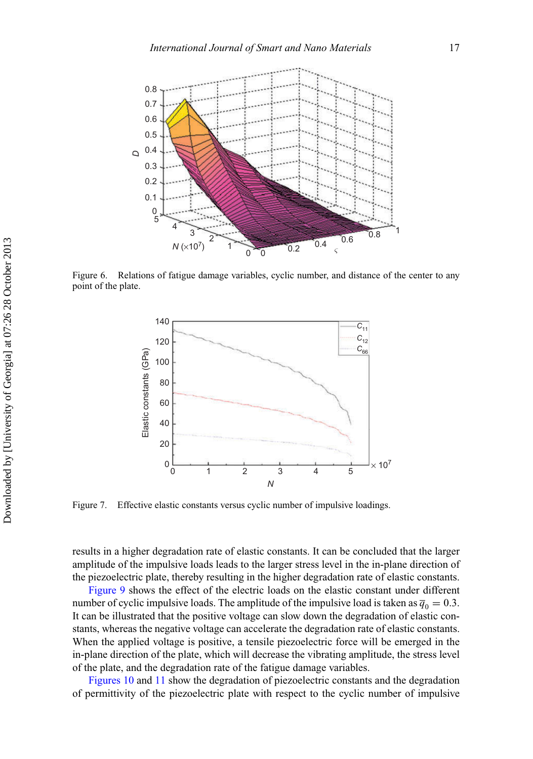<span id="page-18-0"></span>

<span id="page-18-1"></span>Figure 6. Relations of fatigue damage variables, cyclic number, and distance of the center to any point of the plate.



Figure 7. Effective elastic constants versus cyclic number of impulsive loadings.

results in a higher degradation rate of elastic constants. It can be concluded that the larger amplitude of the impulsive loads leads to the larger stress level in the in-plane direction of the piezoelectric plate, thereby resulting in the higher degradation rate of elastic constants.

[Figure 9](#page-19-1) shows the effect of the electric loads on the elastic constant under different number of cyclic impulsive loads. The amplitude of the impulsive load is taken as  $\bar{q}_0 = 0.3$ . It can be illustrated that the positive voltage can slow down the degradation of elastic constants, whereas the negative voltage can accelerate the degradation rate of elastic constants. When the applied voltage is positive, a tensile piezoelectric force will be emerged in the in-plane direction of the plate, which will decrease the vibrating amplitude, the stress level of the plate, and the degradation rate of the fatigue damage variables.

[Figures 10](#page-20-0) and [11](#page-20-1) show the degradation of piezoelectric constants and the degradation of permittivity of the piezoelectric plate with respect to the cyclic number of impulsive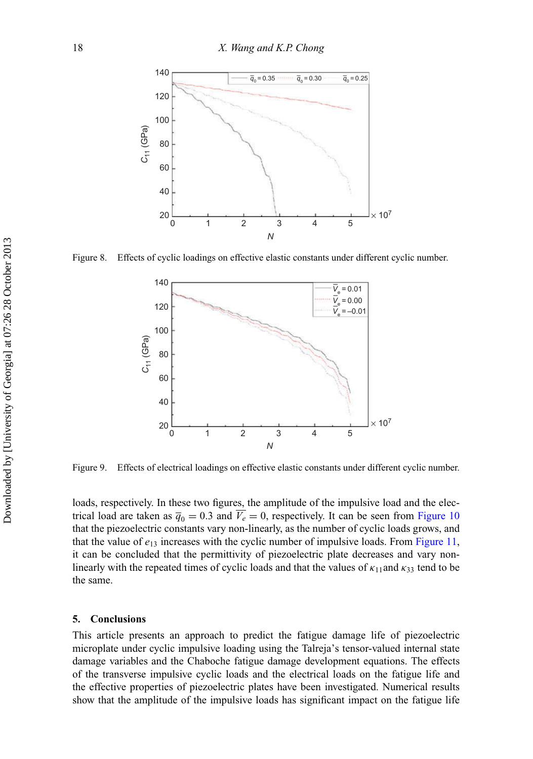<span id="page-19-0"></span>

<span id="page-19-1"></span>Figure 8. Effects of cyclic loadings on effective elastic constants under different cyclic number.



Figure 9. Effects of electrical loadings on effective elastic constants under different cyclic number.

loads, respectively. In these two figures, the amplitude of the impulsive load and the electrical load are taken as  $\overline{q}_0 = 0.3$  and  $\overline{V}_e = 0$ , respectively. It can be seen from [Figure 10](#page-20-0) that the piezoelectric constants vary non-linearly, as the number of cyclic loads grows, and that the value of  $e_{13}$  increases with the cyclic number of impulsive loads. From [Figure 11,](#page-20-1) it can be concluded that the permittivity of piezoelectric plate decreases and vary nonlinearly with the repeated times of cyclic loads and that the values of  $\kappa_{11}$ and  $\kappa_{33}$  tend to be the same.

### **5. Conclusions**

This article presents an approach to predict the fatigue damage life of piezoelectric microplate under cyclic impulsive loading using the Talreja's tensor-valued internal state damage variables and the Chaboche fatigue damage development equations. The effects of the transverse impulsive cyclic loads and the electrical loads on the fatigue life and the effective properties of piezoelectric plates have been investigated. Numerical results show that the amplitude of the impulsive loads has significant impact on the fatigue life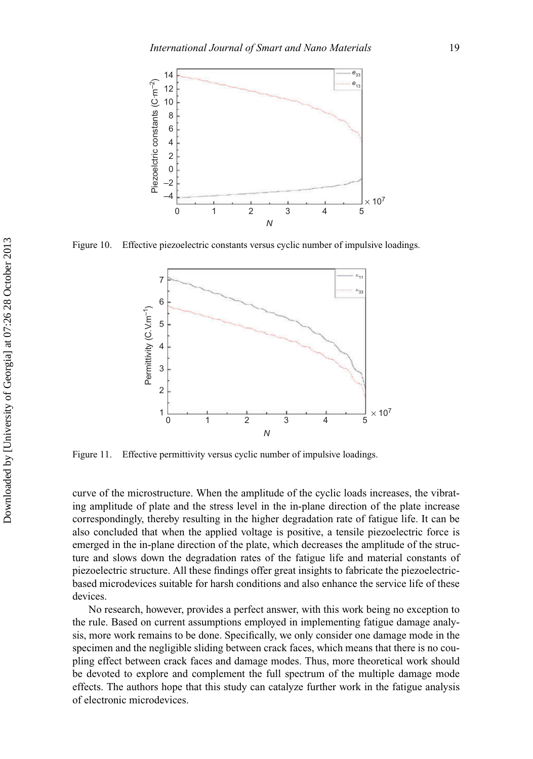<span id="page-20-0"></span>

<span id="page-20-1"></span>Figure 10. Effective piezoelectric constants versus cyclic number of impulsive loadings.



Figure 11. Effective permittivity versus cyclic number of impulsive loadings.

curve of the microstructure. When the amplitude of the cyclic loads increases, the vibrating amplitude of plate and the stress level in the in-plane direction of the plate increase correspondingly, thereby resulting in the higher degradation rate of fatigue life. It can be also concluded that when the applied voltage is positive, a tensile piezoelectric force is emerged in the in-plane direction of the plate, which decreases the amplitude of the structure and slows down the degradation rates of the fatigue life and material constants of piezoelectric structure. All these findings offer great insights to fabricate the piezoelectricbased microdevices suitable for harsh conditions and also enhance the service life of these devices.

No research, however, provides a perfect answer, with this work being no exception to the rule. Based on current assumptions employed in implementing fatigue damage analysis, more work remains to be done. Specifically, we only consider one damage mode in the specimen and the negligible sliding between crack faces, which means that there is no coupling effect between crack faces and damage modes. Thus, more theoretical work should be devoted to explore and complement the full spectrum of the multiple damage mode effects. The authors hope that this study can catalyze further work in the fatigue analysis of electronic microdevices.